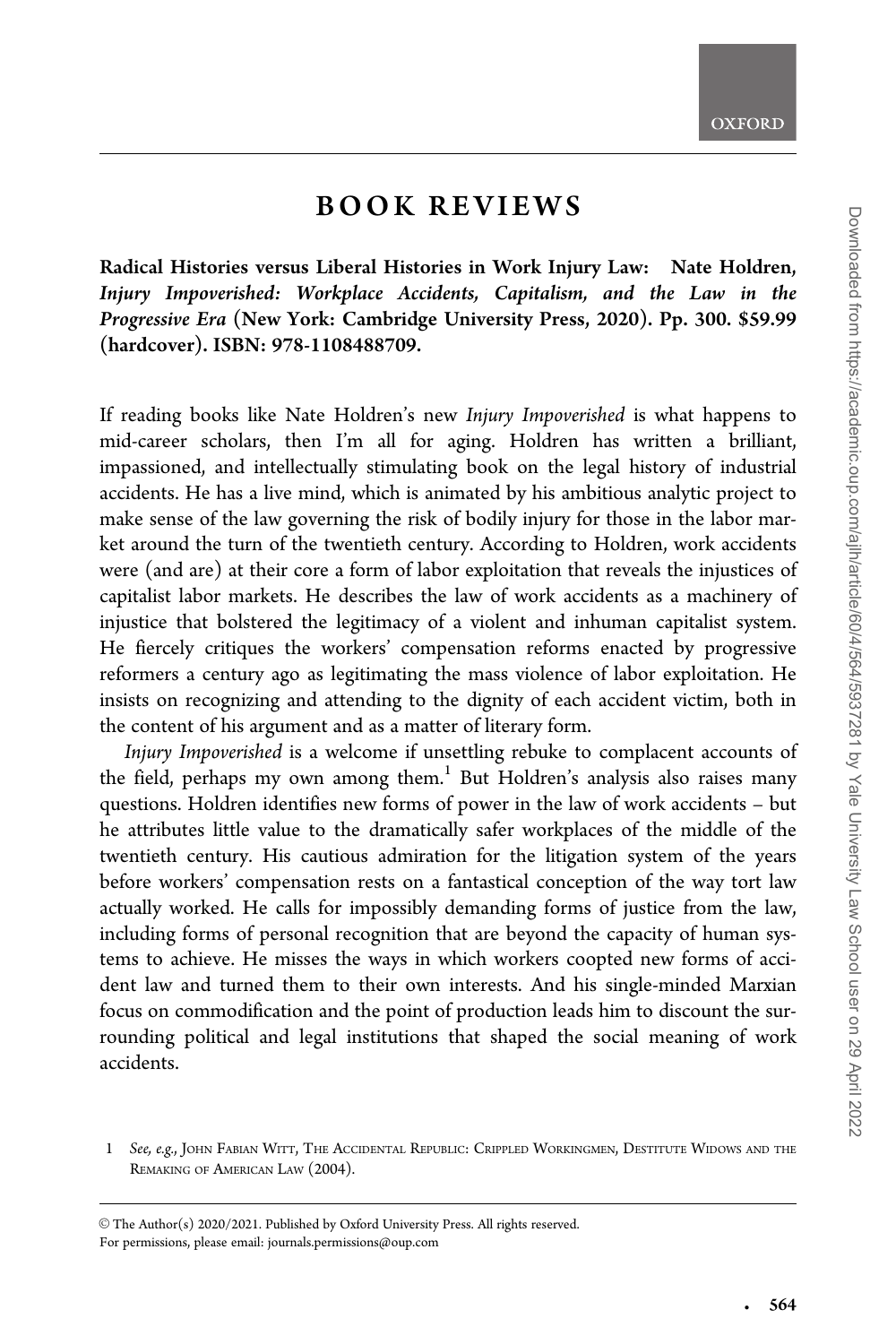## BOOK REVIEWS

Radical Histories versus Liberal Histories in Work Injury Law: Nate Holdren, Injury Impoverished: Workplace Accidents, Capitalism, and the Law in the Progressive Era (New York: Cambridge University Press, 2020). Pp. 300. \$59.99 (hardcover). ISBN: 978-1108488709.

If reading books like Nate Holdren's new Injury Impoverished is what happens to mid-career scholars, then I'm all for aging. Holdren has written a brilliant, impassioned, and intellectually stimulating book on the legal history of industrial accidents. He has a live mind, which is animated by his ambitious analytic project to make sense of the law governing the risk of bodily injury for those in the labor market around the turn of the twentieth century. According to Holdren, work accidents were (and are) at their core a form of labor exploitation that reveals the injustices of capitalist labor markets. He describes the law of work accidents as a machinery of injustice that bolstered the legitimacy of a violent and inhuman capitalist system. He fiercely critiques the workers' compensation reforms enacted by progressive reformers a century ago as legitimating the mass violence of labor exploitation. He insists on recognizing and attending to the dignity of each accident victim, both in the content of his argument and as a matter of literary form.

Injury Impoverished is a welcome if unsettling rebuke to complacent accounts of the field, perhaps my own among them.<sup>1</sup> But Holdren's analysis also raises many questions. Holdren identifies new forms of power in the law of work accidents – but he attributes little value to the dramatically safer workplaces of the middle of the twentieth century. His cautious admiration for the litigation system of the years before workers' compensation rests on a fantastical conception of the way tort law actually worked. He calls for impossibly demanding forms of justice from the law, including forms of personal recognition that are beyond the capacity of human systems to achieve. He misses the ways in which workers coopted new forms of accident law and turned them to their own interests. And his single-minded Marxian focus on commodification and the point of production leads him to discount the surrounding political and legal institutions that shaped the social meaning of work accidents.

-

<sup>1</sup> See, e.g., JOHN FABIAN WITT, THE ACCIDENTAL REPUBLIC: CRIPPLED WORKINGMEN, DESTITUTE WIDOWS AND THE REMAKING OF AMERICAN LAW (2004).

V<sup>C</sup> The Author(s) 2020/2021. Published by Oxford University Press. All rights reserved. For permissions, please email: journals.permissions@oup.com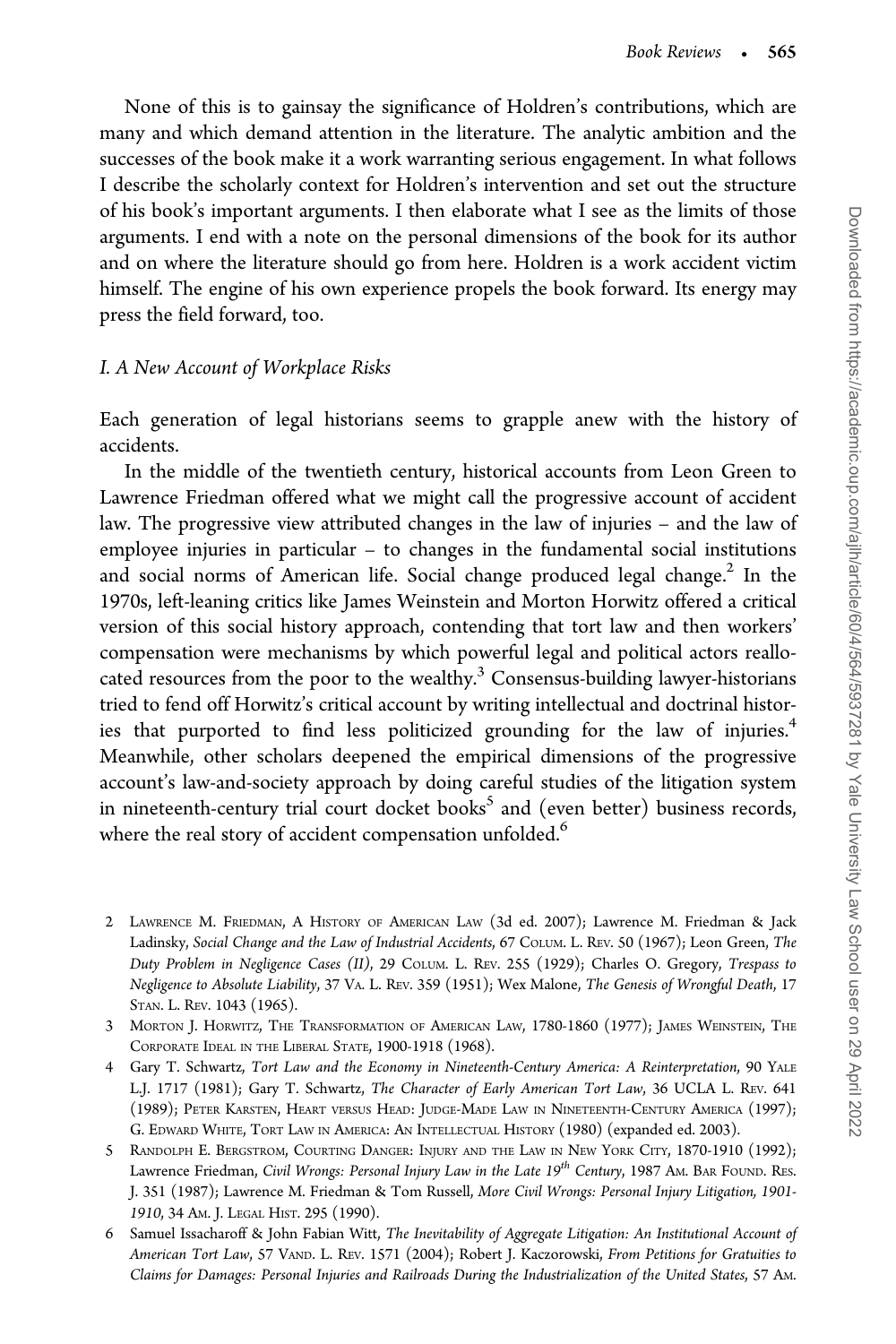None of this is to gainsay the significance of Holdren's contributions, which are many and which demand attention in the literature. The analytic ambition and the successes of the book make it a work warranting serious engagement. In what follows I describe the scholarly context for Holdren's intervention and set out the structure of his book's important arguments. I then elaborate what I see as the limits of those arguments. I end with a note on the personal dimensions of the book for its author and on where the literature should go from here. Holdren is a work accident victim himself. The engine of his own experience propels the book forward. Its energy may press the field forward, too.

## I. A New Account of Workplace Risks

Each generation of legal historians seems to grapple anew with the history of accidents.

In the middle of the twentieth century, historical accounts from Leon Green to Lawrence Friedman offered what we might call the progressive account of accident law. The progressive view attributed changes in the law of injuries – and the law of employee injuries in particular – to changes in the fundamental social institutions and social norms of American life. Social change produced legal change.<sup>2</sup> In the 1970s, left-leaning critics like James Weinstein and Morton Horwitz offered a critical version of this social history approach, contending that tort law and then workers' compensation were mechanisms by which powerful legal and political actors reallocated resources from the poor to the wealthy. $3$  Consensus-building lawyer-historians tried to fend off Horwitz's critical account by writing intellectual and doctrinal histories that purported to find less politicized grounding for the law of injuries.<sup>4</sup> Meanwhile, other scholars deepened the empirical dimensions of the progressive account's law-and-society approach by doing careful studies of the litigation system in nineteenth-century trial court docket books<sup>5</sup> and (even better) business records, where the real story of accident compensation unfolded.<sup>6</sup>

- 2 LAWRENCE M. FRIEDMAN,AHISTORY OF AMERICAN LAW (3d ed. 2007); Lawrence M. Friedman & Jack Ladinsky, Social Change and the Law of Industrial Accidents, 67 COLUM. L. REV. 50 (1967); Leon Green, The Duty Problem in Negligence Cases (II), 29 COLUM. L. REV. 255 (1929); Charles O. Gregory, Trespass to Negligence to Absolute Liability, 37 VA. L. REV. 359 (1951); Wex Malone, The Genesis of Wrongful Death, 17 STAN. L. REV. 1043 (1965).
- 3 MORTON J. HORWITZ, THE TRANSFORMATION OF AMERICAN LAW, 1780-1860 (1977); JAMES WEINSTEIN, THE CORPORATE IDEAL IN THE LIBERAL STATE, 1900-1918 (1968).
- 4 Gary T. Schwartz, Tort Law and the Economy in Nineteenth-Century America: A Reinterpretation, 90 YALE L.J. 1717 (1981); Gary T. Schwartz, The Character of Early American Tort Law, 36 UCLA L. REV. 641 (1989); PETER KARSTEN, HEART VERSUS HEAD: JUDGE-MADE LAW IN NINETEENTH-CENTURY AMERICA (1997); G. EDWARD WHITE, TORT LAW IN AMERICA: AN INTELLECTUAL HISTORY (1980) (expanded ed. 2003).
- 5 RANDOLPH E. BERGSTROM, COURTING DANGER: INJURY AND THE LAW IN NEW YORK CITY, 1870-1910 (1992); Lawrence Friedman, Civil Wrongs: Personal Injury Law in the Late 19<sup>th</sup> Century, 1987 AM. BAR FOUND. RES. J. 351 (1987); Lawrence M. Friedman & Tom Russell, More Civil Wrongs: Personal Injury Litigation, 1901- 1910, 34 AM. J. LEGAL HIST. 295 (1990).
- 6 Samuel Issacharoff & John Fabian Witt, The Inevitability of Aggregate Litigation: An Institutional Account of American Tort Law, 57 VAND. L. REV. 1571 (2004); Robert J. Kaczorowski, From Petitions for Gratuities to Claims for Damages: Personal Injuries and Railroads During the Industrialization of the United States, 57 AM.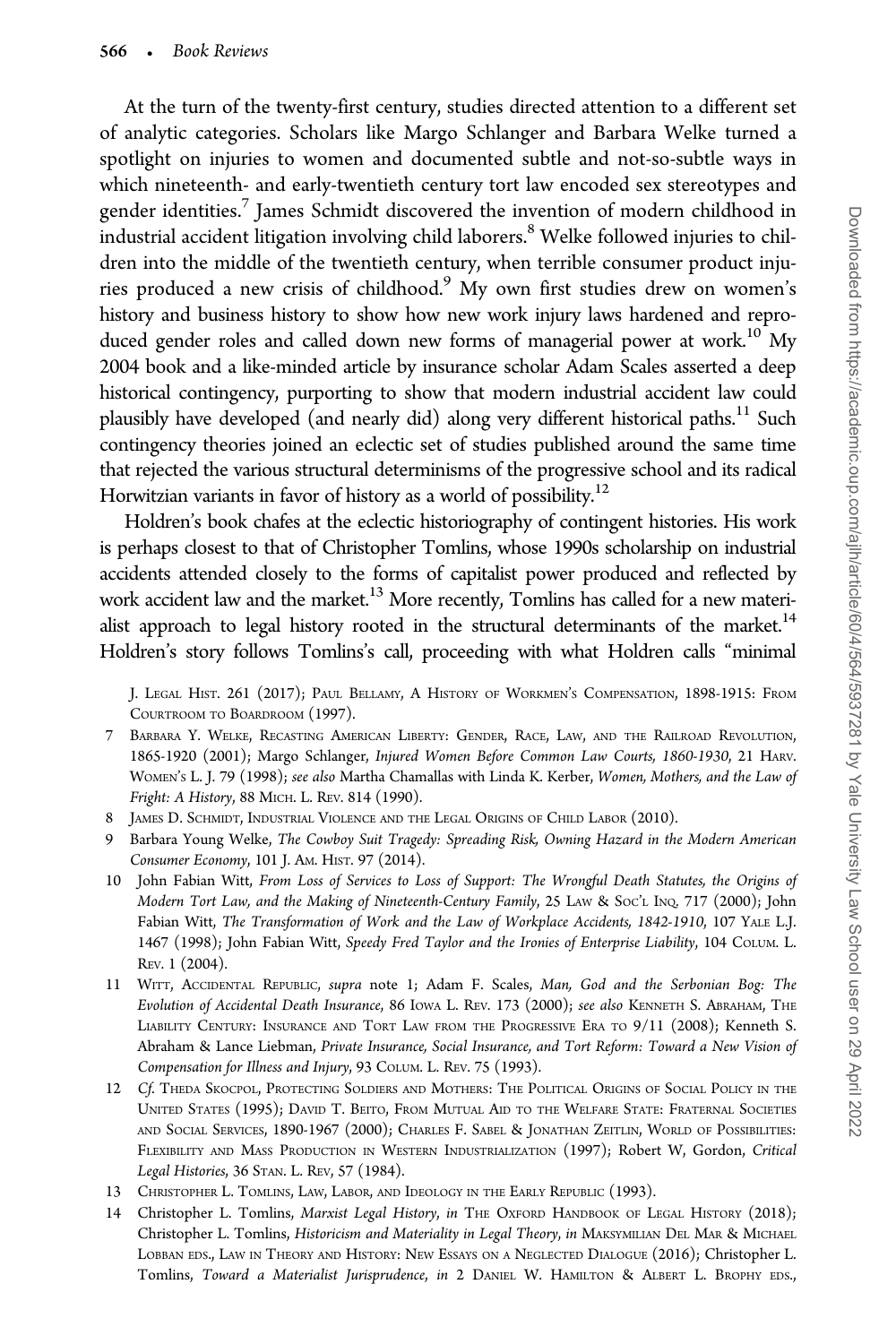At the turn of the twenty-first century, studies directed attention to a different set of analytic categories. Scholars like Margo Schlanger and Barbara Welke turned a spotlight on injuries to women and documented subtle and not-so-subtle ways in which nineteenth- and early-twentieth century tort law encoded sex stereotypes and gender identities.<sup>7</sup> James Schmidt discovered the invention of modern childhood in industrial accident litigation involving child laborers.<sup>8</sup> Welke followed injuries to children into the middle of the twentieth century, when terrible consumer product injuries produced a new crisis of childhood.<sup>9</sup> My own first studies drew on women's history and business history to show how new work injury laws hardened and reproduced gender roles and called down new forms of managerial power at work.<sup>10</sup> My 2004 book and a like-minded article by insurance scholar Adam Scales asserted a deep historical contingency, purporting to show that modern industrial accident law could plausibly have developed (and nearly did) along very different historical paths.<sup>11</sup> Such contingency theories joined an eclectic set of studies published around the same time that rejected the various structural determinisms of the progressive school and its radical Horwitzian variants in favor of history as a world of possibility.<sup>12</sup>

Holdren's book chafes at the eclectic historiography of contingent histories. His work is perhaps closest to that of Christopher Tomlins, whose 1990s scholarship on industrial accidents attended closely to the forms of capitalist power produced and reflected by work accident law and the market.<sup>13</sup> More recently, Tomlins has called for a new materialist approach to legal history rooted in the structural determinants of the market.<sup>14</sup> Holdren's story follows Tomlins's call, proceeding with what Holdren calls "minimal

J. LEGAL HIST. 261 (2017); PAUL BELLAMY, A HISTORY OF WORKMEN'S COMPENSATION, 1898-1915: FROM COURTROOM TO BOARDROOM (1997).

- 7 BARBARA Y. WELKE, RECASTING AMERICAN LIBERTY: GENDER, RACE, LAW, AND THE RAILROAD REVOLUTION, 1865-1920 (2001); Margo Schlanger, Injured Women Before Common Law Courts, 1860-1930, 21 HARV. WOMEN'S L. J. 79 (1998); see also Martha Chamallas with Linda K. Kerber, Women, Mothers, and the Law of Fright: A History, 88 MICH. L. REV. 814 (1990).
- 8 JAMES D. SCHMIDT, INDUSTRIAL VIOLENCE AND THE LEGAL ORIGINS OF CHILD LABOR (2010).
- 9 Barbara Young Welke, The Cowboy Suit Tragedy: Spreading Risk, Owning Hazard in the Modern American Consumer Economy, 101 J. AM. HIST. 97 (2014).
- 10 John Fabian Witt, From Loss of Services to Loss of Support: The Wrongful Death Statutes, the Origins of Modern Tort Law, and the Making of Nineteenth-Century Family, 25 LAW & SOC'L INQ. 717 (2000); John Fabian Witt, The Transformation of Work and the Law of Workplace Accidents, 1842-1910, 107 YALE L.J. 1467 (1998); John Fabian Witt, Speedy Fred Taylor and the Ironies of Enterprise Liability, 104 COLUM. L. REV. 1 (2004).
- 11 WITT, ACCIDENTAL REPUBLIC, supra note 1; Adam F. Scales, Man, God and the Serbonian Bog: The Evolution of Accidental Death Insurance, 86 IOWA L. REV. 173 (2000); see also KENNETH S. ABRAHAM, THE LIABILITY CENTURY: INSURANCE AND TORT LAW FROM THE PROGRESSIVE ERA TO 9/11 (2008); Kenneth S. Abraham & Lance Liebman, Private Insurance, Social Insurance, and Tort Reform: Toward a New Vision of Compensation for Illness and Injury, 93 COLUM. L. REV. 75 (1993).
- 12 Cf. THEDA SKOCPOL, PROTECTING SOLDIERS AND MOTHERS: THE POLITICAL ORIGINS OF SOCIAL POLICY IN THE UNITED STATES (1995); DAVID T. BEITO, FROM MUTUAL AID TO THE WELFARE STATE: FRATERNAL SOCIETIES AND SOCIAL SERVICES, 1890-1967 (2000); CHARLES F. SABEL & JONATHAN ZEITLIN, WORLD OF POSSIBILITIES: FLEXIBILITY AND MASS PRODUCTION IN WESTERN INDUSTRIALIZATION (1997); Robert W, Gordon, Critical Legal Histories, 36 STAN. L. REV, 57 (1984).
- 13 CHRISTOPHER L. TOMLINS, LAW, LABOR, AND IDEOLOGY IN THE EARLY REPUBLIC (1993).
- 14 Christopher L. Tomlins, Marxist Legal History, in THE OXFORD HANDBOOK OF LEGAL HISTORY (2018); Christopher L. Tomlins, Historicism and Materiality in Legal Theory, in MAKSYMILIAN DEL MAR & MICHAEL LOBBAN EDS., LAW IN THEORY AND HISTORY: NEW ESSAYS ON A NEGLECTED DIALOGUE (2016); Christopher L. Tomlins, Toward a Materialist Jurisprudence, in 2 DANIEL W. HAMILTON & ALBERT L. BROPHY EDS.,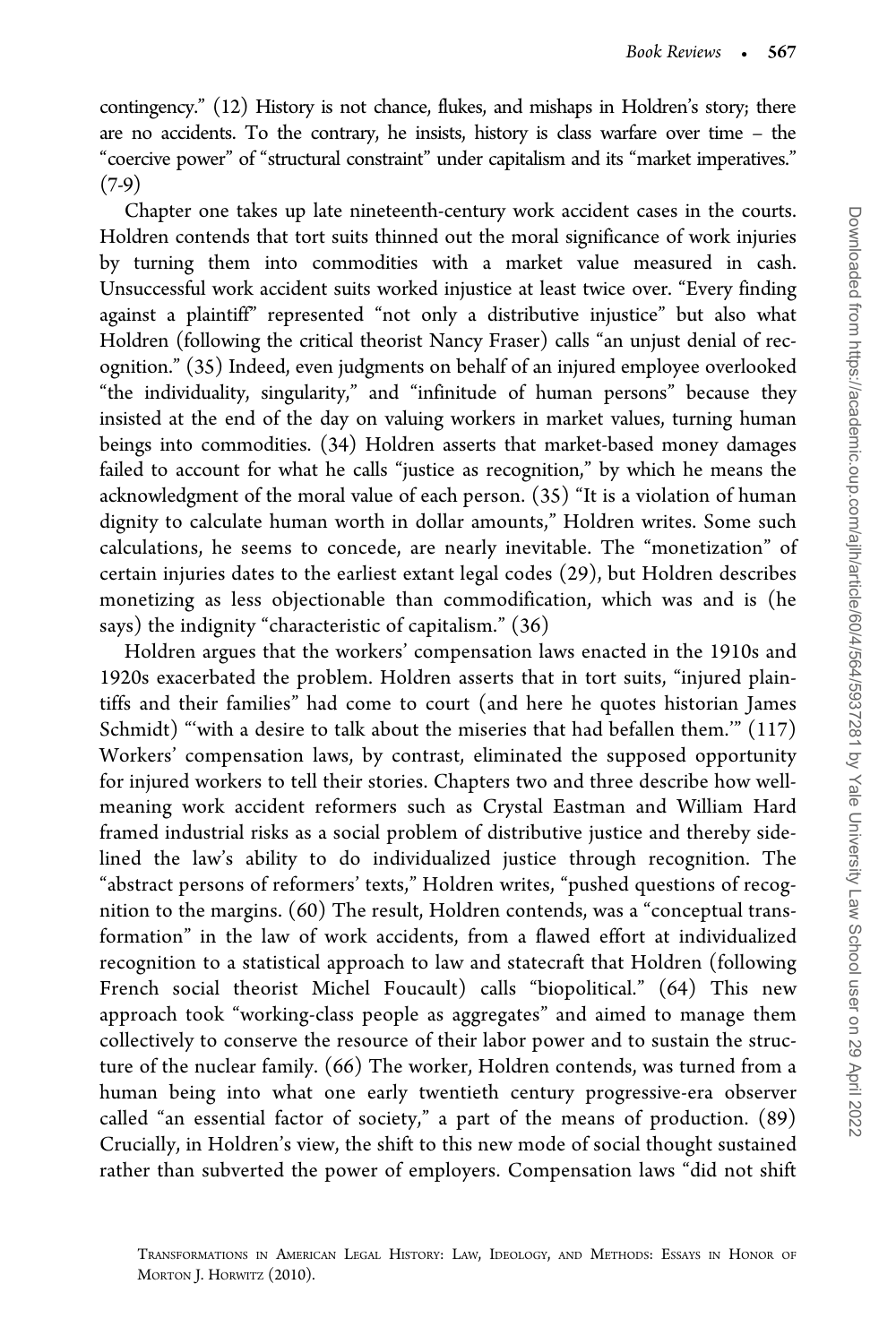contingency." (12) History is not chance, flukes, and mishaps in Holdren's story; there are no accidents. To the contrary, he insists, history is class warfare over time – the "coercive power" of "structural constraint" under capitalism and its "market imperatives." (7-9)

Chapter one takes up late nineteenth-century work accident cases in the courts. Holdren contends that tort suits thinned out the moral significance of work injuries by turning them into commodities with a market value measured in cash. Unsuccessful work accident suits worked injustice at least twice over. "Every finding against a plaintiff" represented "not only a distributive injustice" but also what Holdren (following the critical theorist Nancy Fraser) calls "an unjust denial of recognition." (35) Indeed, even judgments on behalf of an injured employee overlooked "the individuality, singularity," and "infinitude of human persons" because they insisted at the end of the day on valuing workers in market values, turning human beings into commodities. (34) Holdren asserts that market-based money damages failed to account for what he calls "justice as recognition," by which he means the acknowledgment of the moral value of each person. (35) "It is a violation of human dignity to calculate human worth in dollar amounts," Holdren writes. Some such calculations, he seems to concede, are nearly inevitable. The "monetization" of certain injuries dates to the earliest extant legal codes (29), but Holdren describes monetizing as less objectionable than commodification, which was and is (he says) the indignity "characteristic of capitalism." (36)

Holdren argues that the workers' compensation laws enacted in the 1910s and 1920s exacerbated the problem. Holdren asserts that in tort suits, "injured plaintiffs and their families" had come to court (and here he quotes historian James Schmidt) "'with a desire to talk about the miseries that had befallen them.'" (117) Workers' compensation laws, by contrast, eliminated the supposed opportunity for injured workers to tell their stories. Chapters two and three describe how wellmeaning work accident reformers such as Crystal Eastman and William Hard framed industrial risks as a social problem of distributive justice and thereby sidelined the law's ability to do individualized justice through recognition. The "abstract persons of reformers' texts," Holdren writes, "pushed questions of recognition to the margins. (60) The result, Holdren contends, was a "conceptual transformation" in the law of work accidents, from a flawed effort at individualized recognition to a statistical approach to law and statecraft that Holdren (following French social theorist Michel Foucault) calls "biopolitical." (64) This new approach took "working-class people as aggregates" and aimed to manage them collectively to conserve the resource of their labor power and to sustain the structure of the nuclear family. (66) The worker, Holdren contends, was turned from a human being into what one early twentieth century progressive-era observer called "an essential factor of society," a part of the means of production. (89) Crucially, in Holdren's view, the shift to this new mode of social thought sustained rather than subverted the power of employers. Compensation laws "did not shift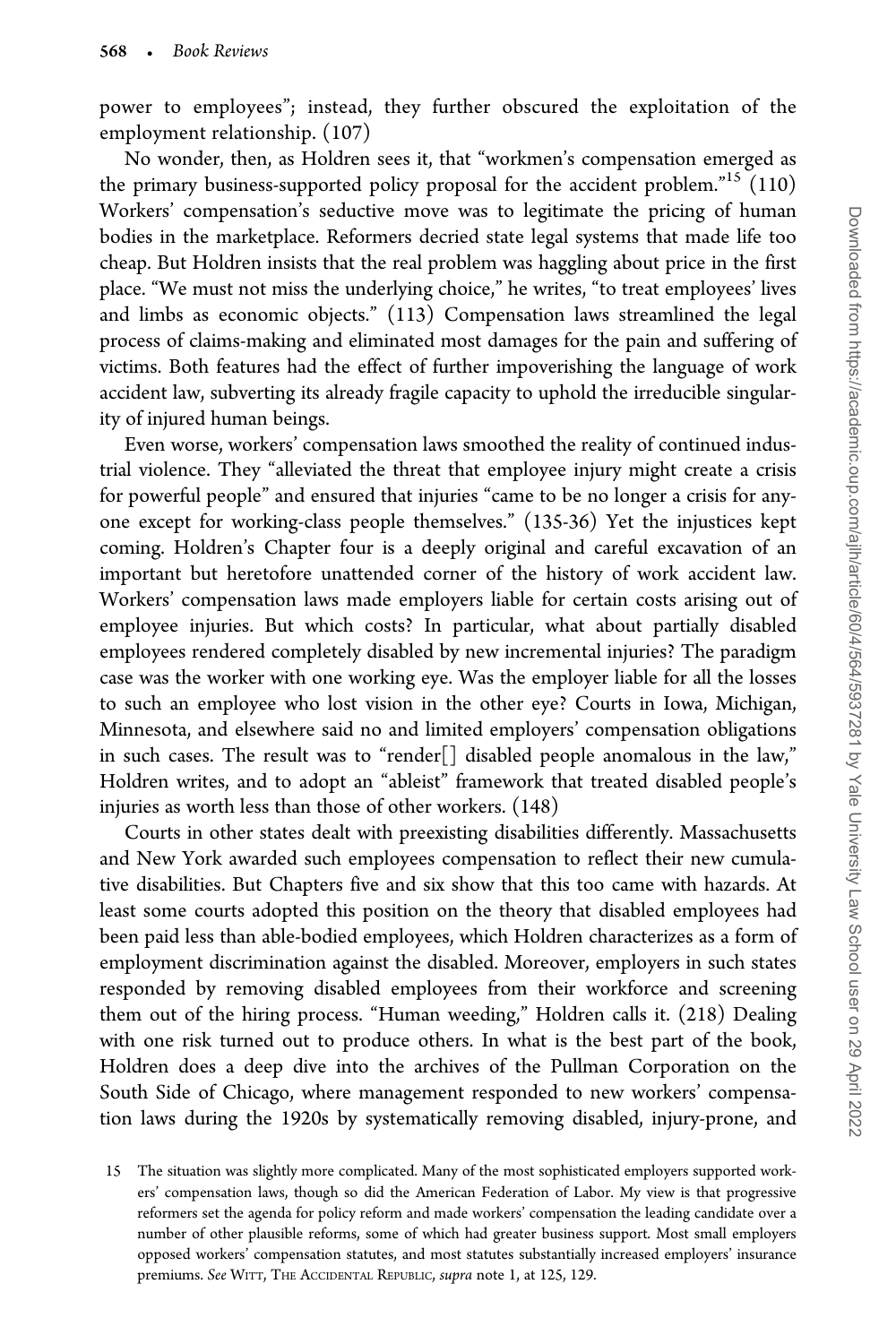power to employees"; instead, they further obscured the exploitation of the employment relationship. (107)

No wonder, then, as Holdren sees it, that "workmen's compensation emerged as the primary business-supported policy proposal for the accident problem."<sup>15</sup> (110) Workers' compensation's seductive move was to legitimate the pricing of human bodies in the marketplace. Reformers decried state legal systems that made life too cheap. But Holdren insists that the real problem was haggling about price in the first place. "We must not miss the underlying choice," he writes, "to treat employees' lives and limbs as economic objects." (113) Compensation laws streamlined the legal process of claims-making and eliminated most damages for the pain and suffering of victims. Both features had the effect of further impoverishing the language of work accident law, subverting its already fragile capacity to uphold the irreducible singularity of injured human beings.

Even worse, workers' compensation laws smoothed the reality of continued industrial violence. They "alleviated the threat that employee injury might create a crisis for powerful people" and ensured that injuries "came to be no longer a crisis for anyone except for working-class people themselves." (135-36) Yet the injustices kept coming. Holdren's Chapter four is a deeply original and careful excavation of an important but heretofore unattended corner of the history of work accident law. Workers' compensation laws made employers liable for certain costs arising out of employee injuries. But which costs? In particular, what about partially disabled employees rendered completely disabled by new incremental injuries? The paradigm case was the worker with one working eye. Was the employer liable for all the losses to such an employee who lost vision in the other eye? Courts in Iowa, Michigan, Minnesota, and elsewhere said no and limited employers' compensation obligations in such cases. The result was to "render<sup>[]</sup> disabled people anomalous in the law," Holdren writes, and to adopt an "ableist" framework that treated disabled people's injuries as worth less than those of other workers. (148)

Courts in other states dealt with preexisting disabilities differently. Massachusetts and New York awarded such employees compensation to reflect their new cumulative disabilities. But Chapters five and six show that this too came with hazards. At least some courts adopted this position on the theory that disabled employees had been paid less than able-bodied employees, which Holdren characterizes as a form of employment discrimination against the disabled. Moreover, employers in such states responded by removing disabled employees from their workforce and screening them out of the hiring process. "Human weeding," Holdren calls it. (218) Dealing with one risk turned out to produce others. In what is the best part of the book, Holdren does a deep dive into the archives of the Pullman Corporation on the South Side of Chicago, where management responded to new workers' compensation laws during the 1920s by systematically removing disabled, injury-prone, and

<sup>15</sup> The situation was slightly more complicated. Many of the most sophisticated employers supported workers' compensation laws, though so did the American Federation of Labor. My view is that progressive reformers set the agenda for policy reform and made workers' compensation the leading candidate over a number of other plausible reforms, some of which had greater business support. Most small employers opposed workers' compensation statutes, and most statutes substantially increased employers' insurance premiums. See WITT, THE ACCIDENTAL REPUBLIC, supra note 1, at 125, 129.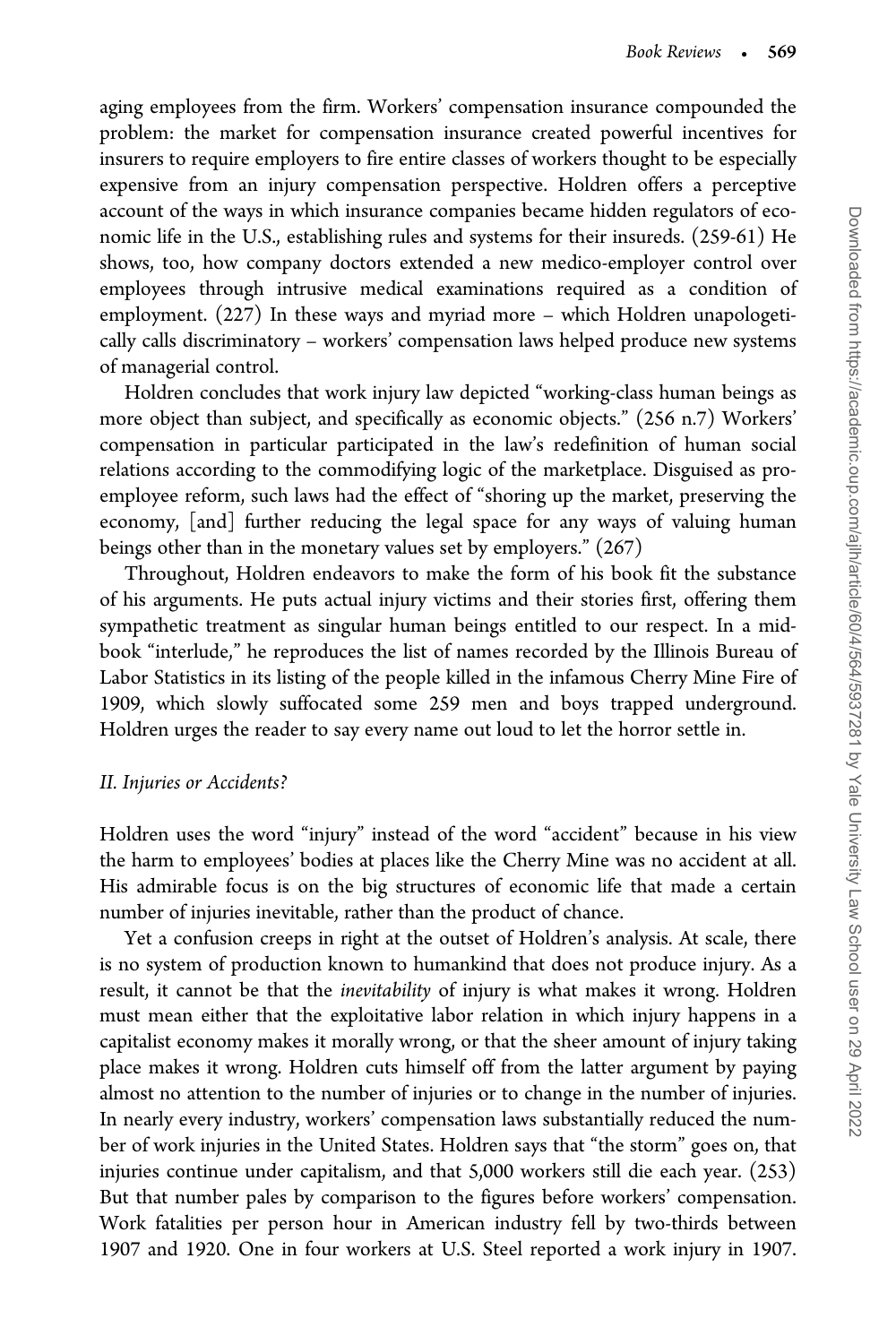aging employees from the firm. Workers' compensation insurance compounded the problem: the market for compensation insurance created powerful incentives for insurers to require employers to fire entire classes of workers thought to be especially expensive from an injury compensation perspective. Holdren offers a perceptive account of the ways in which insurance companies became hidden regulators of economic life in the U.S., establishing rules and systems for their insureds. (259-61) He shows, too, how company doctors extended a new medico-employer control over employees through intrusive medical examinations required as a condition of employment. (227) In these ways and myriad more – which Holdren unapologetically calls discriminatory – workers' compensation laws helped produce new systems of managerial control.

Holdren concludes that work injury law depicted "working-class human beings as more object than subject, and specifically as economic objects." (256 n.7) Workers' compensation in particular participated in the law's redefinition of human social relations according to the commodifying logic of the marketplace. Disguised as proemployee reform, such laws had the effect of "shoring up the market, preserving the economy, [and] further reducing the legal space for any ways of valuing human beings other than in the monetary values set by employers." (267)

Throughout, Holdren endeavors to make the form of his book fit the substance of his arguments. He puts actual injury victims and their stories first, offering them sympathetic treatment as singular human beings entitled to our respect. In a midbook "interlude," he reproduces the list of names recorded by the Illinois Bureau of Labor Statistics in its listing of the people killed in the infamous Cherry Mine Fire of 1909, which slowly suffocated some 259 men and boys trapped underground. Holdren urges the reader to say every name out loud to let the horror settle in.

## II. Injuries or Accidents?

Holdren uses the word "injury" instead of the word "accident" because in his view the harm to employees' bodies at places like the Cherry Mine was no accident at all. His admirable focus is on the big structures of economic life that made a certain number of injuries inevitable, rather than the product of chance.

Yet a confusion creeps in right at the outset of Holdren's analysis. At scale, there is no system of production known to humankind that does not produce injury. As a result, it cannot be that the inevitability of injury is what makes it wrong. Holdren must mean either that the exploitative labor relation in which injury happens in a capitalist economy makes it morally wrong, or that the sheer amount of injury taking place makes it wrong. Holdren cuts himself off from the latter argument by paying almost no attention to the number of injuries or to change in the number of injuries. In nearly every industry, workers' compensation laws substantially reduced the number of work injuries in the United States. Holdren says that "the storm" goes on, that injuries continue under capitalism, and that 5,000 workers still die each year. (253) But that number pales by comparison to the figures before workers' compensation. Work fatalities per person hour in American industry fell by two-thirds between 1907 and 1920. One in four workers at U.S. Steel reported a work injury in 1907.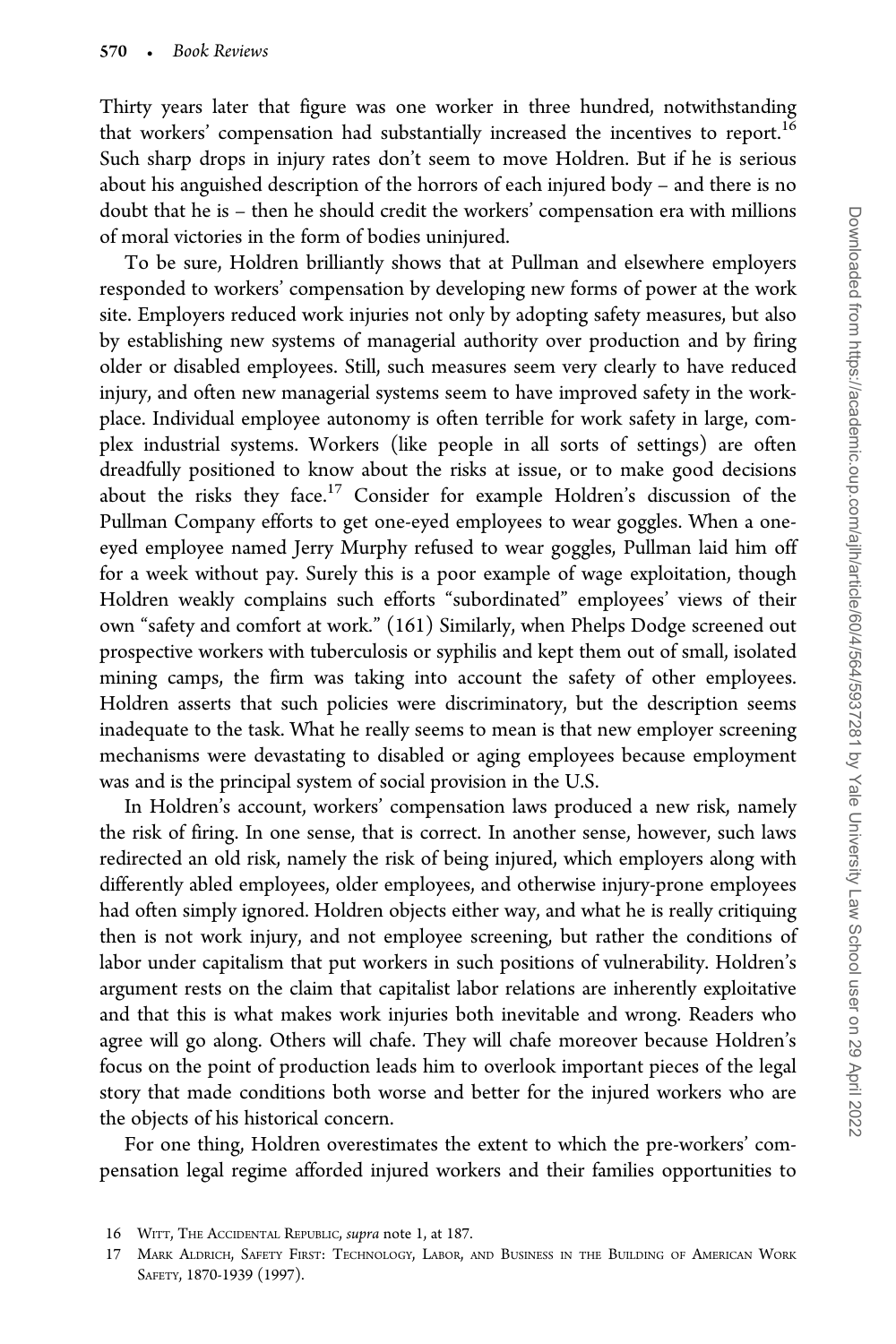Thirty years later that figure was one worker in three hundred, notwithstanding that workers' compensation had substantially increased the incentives to report.<sup>16</sup> Such sharp drops in injury rates don't seem to move Holdren. But if he is serious about his anguished description of the horrors of each injured body – and there is no doubt that he is – then he should credit the workers' compensation era with millions of moral victories in the form of bodies uninjured.

To be sure, Holdren brilliantly shows that at Pullman and elsewhere employers responded to workers' compensation by developing new forms of power at the work site. Employers reduced work injuries not only by adopting safety measures, but also by establishing new systems of managerial authority over production and by firing older or disabled employees. Still, such measures seem very clearly to have reduced injury, and often new managerial systems seem to have improved safety in the workplace. Individual employee autonomy is often terrible for work safety in large, complex industrial systems. Workers (like people in all sorts of settings) are often dreadfully positioned to know about the risks at issue, or to make good decisions about the risks they face.17 Consider for example Holdren's discussion of the Pullman Company efforts to get one-eyed employees to wear goggles. When a oneeyed employee named Jerry Murphy refused to wear goggles, Pullman laid him off for a week without pay. Surely this is a poor example of wage exploitation, though Holdren weakly complains such efforts "subordinated" employees' views of their own "safety and comfort at work." (161) Similarly, when Phelps Dodge screened out prospective workers with tuberculosis or syphilis and kept them out of small, isolated mining camps, the firm was taking into account the safety of other employees. Holdren asserts that such policies were discriminatory, but the description seems inadequate to the task. What he really seems to mean is that new employer screening mechanisms were devastating to disabled or aging employees because employment was and is the principal system of social provision in the U.S.

In Holdren's account, workers' compensation laws produced a new risk, namely the risk of firing. In one sense, that is correct. In another sense, however, such laws redirected an old risk, namely the risk of being injured, which employers along with differently abled employees, older employees, and otherwise injury-prone employees had often simply ignored. Holdren objects either way, and what he is really critiquing then is not work injury, and not employee screening, but rather the conditions of labor under capitalism that put workers in such positions of vulnerability. Holdren's argument rests on the claim that capitalist labor relations are inherently exploitative and that this is what makes work injuries both inevitable and wrong. Readers who agree will go along. Others will chafe. They will chafe moreover because Holdren's focus on the point of production leads him to overlook important pieces of the legal story that made conditions both worse and better for the injured workers who are the objects of his historical concern.

For one thing, Holdren overestimates the extent to which the pre-workers' compensation legal regime afforded injured workers and their families opportunities to

<sup>16</sup> WITT, THE ACCIDENTAL REPUBLIC, supra note 1, at 187.

<sup>17</sup> MARK ALDRICH, SAFETY FIRST: TECHNOLOGY, LABOR, AND BUSINESS IN THE BUILDING OF AMERICAN WORK SAFETY, 1870-1939 (1997).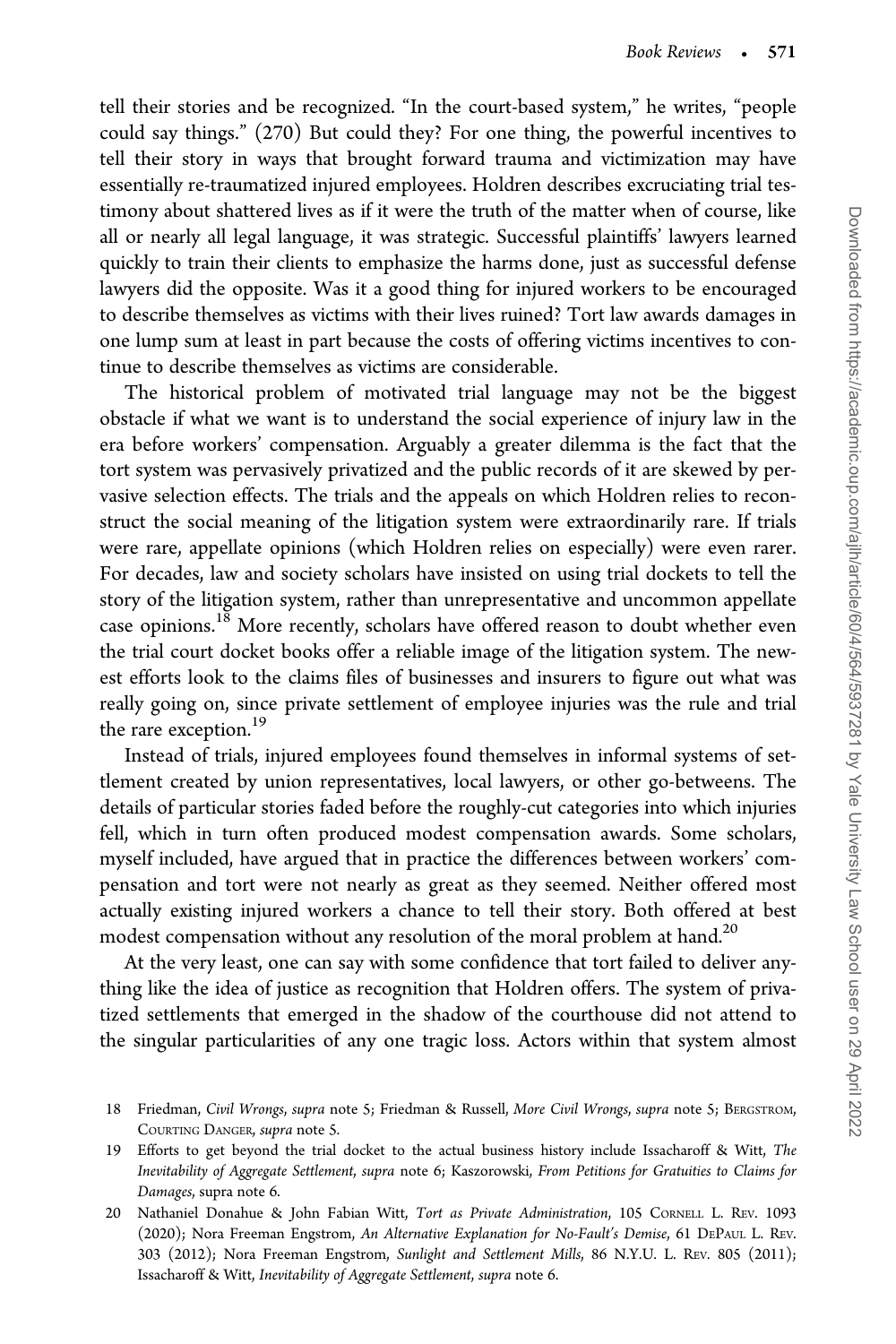tell their stories and be recognized. "In the court-based system," he writes, "people could say things." (270) But could they? For one thing, the powerful incentives to tell their story in ways that brought forward trauma and victimization may have essentially re-traumatized injured employees. Holdren describes excruciating trial testimony about shattered lives as if it were the truth of the matter when of course, like all or nearly all legal language, it was strategic. Successful plaintiffs' lawyers learned quickly to train their clients to emphasize the harms done, just as successful defense lawyers did the opposite. Was it a good thing for injured workers to be encouraged to describe themselves as victims with their lives ruined? Tort law awards damages in one lump sum at least in part because the costs of offering victims incentives to continue to describe themselves as victims are considerable.

The historical problem of motivated trial language may not be the biggest obstacle if what we want is to understand the social experience of injury law in the era before workers' compensation. Arguably a greater dilemma is the fact that the tort system was pervasively privatized and the public records of it are skewed by pervasive selection effects. The trials and the appeals on which Holdren relies to reconstruct the social meaning of the litigation system were extraordinarily rare. If trials were rare, appellate opinions (which Holdren relies on especially) were even rarer. For decades, law and society scholars have insisted on using trial dockets to tell the story of the litigation system, rather than unrepresentative and uncommon appellate case opinions.<sup>18</sup> More recently, scholars have offered reason to doubt whether even the trial court docket books offer a reliable image of the litigation system. The newest efforts look to the claims files of businesses and insurers to figure out what was really going on, since private settlement of employee injuries was the rule and trial the rare exception.<sup>19</sup>

Instead of trials, injured employees found themselves in informal systems of settlement created by union representatives, local lawyers, or other go-betweens. The details of particular stories faded before the roughly-cut categories into which injuries fell, which in turn often produced modest compensation awards. Some scholars, myself included, have argued that in practice the differences between workers' compensation and tort were not nearly as great as they seemed. Neither offered most actually existing injured workers a chance to tell their story. Both offered at best modest compensation without any resolution of the moral problem at hand.<sup>20</sup>

At the very least, one can say with some confidence that tort failed to deliver anything like the idea of justice as recognition that Holdren offers. The system of privatized settlements that emerged in the shadow of the courthouse did not attend to the singular particularities of any one tragic loss. Actors within that system almost

<sup>18</sup> Friedman, Civil Wrongs, supra note 5; Friedman & Russell, More Civil Wrongs, supra note 5; BERGSTROM, COURTING DANGER, supra note 5.

<sup>19</sup> Efforts to get beyond the trial docket to the actual business history include Issacharoff & Witt, The Inevitability of Aggregate Settlement, supra note 6; Kaszorowski, From Petitions for Gratuities to Claims for Damages, supra note 6.

<sup>20</sup> Nathaniel Donahue & John Fabian Witt, Tort as Private Administration, 105 CORNELL L. REV. 1093 (2020); Nora Freeman Engstrom, An Alternative Explanation for No-Fault's Demise, 61 DEPAUL L. REV. 303 (2012); Nora Freeman Engstrom, Sunlight and Settlement Mills, 86 N.Y.U. L. REV. 805 (2011); Issacharoff & Witt, Inevitability of Aggregate Settlement, supra note 6.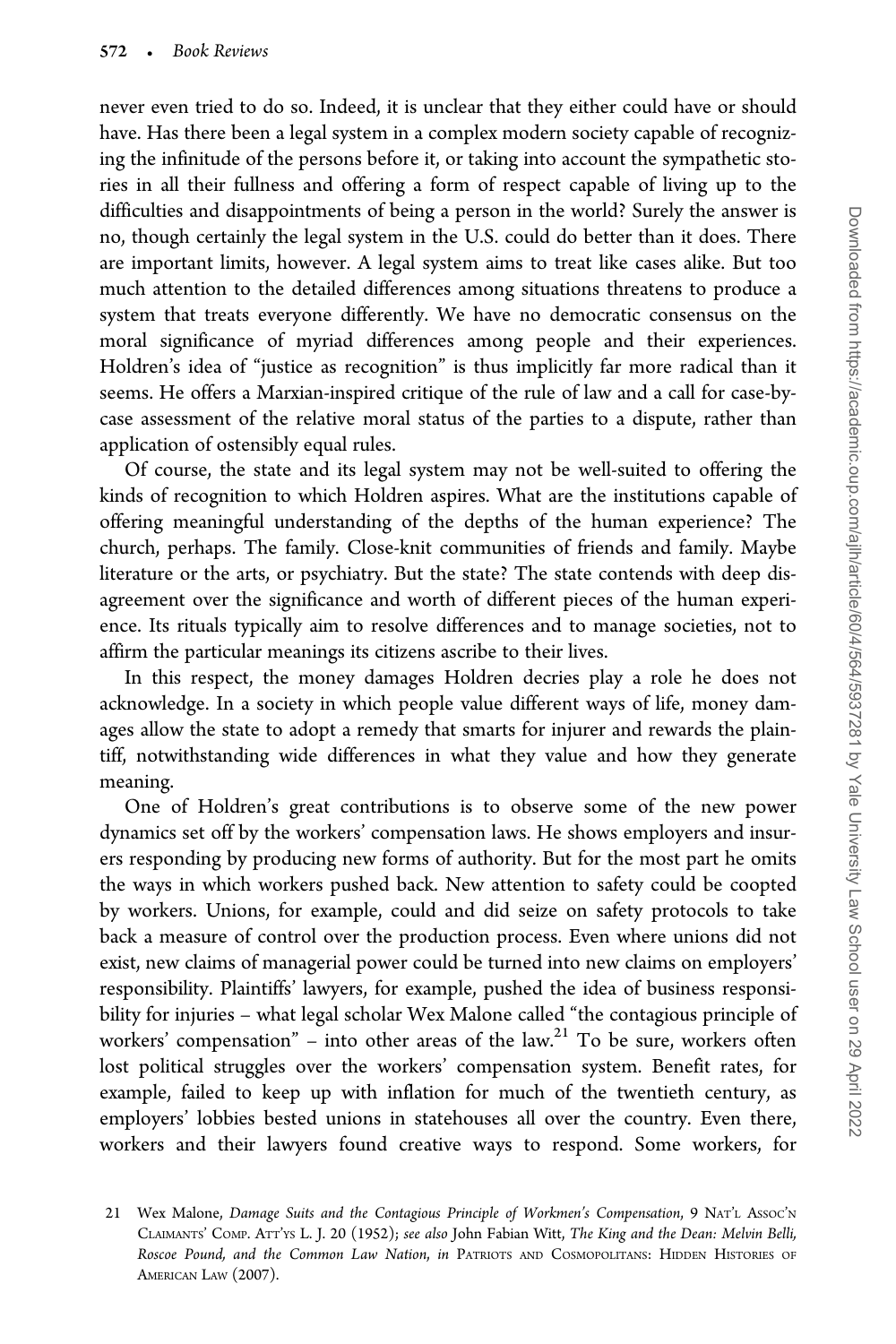never even tried to do so. Indeed, it is unclear that they either could have or should have. Has there been a legal system in a complex modern society capable of recognizing the infinitude of the persons before it, or taking into account the sympathetic stories in all their fullness and offering a form of respect capable of living up to the difficulties and disappointments of being a person in the world? Surely the answer is no, though certainly the legal system in the U.S. could do better than it does. There are important limits, however. A legal system aims to treat like cases alike. But too much attention to the detailed differences among situations threatens to produce a system that treats everyone differently. We have no democratic consensus on the moral significance of myriad differences among people and their experiences. Holdren's idea of "justice as recognition" is thus implicitly far more radical than it seems. He offers a Marxian-inspired critique of the rule of law and a call for case-bycase assessment of the relative moral status of the parties to a dispute, rather than application of ostensibly equal rules.

Of course, the state and its legal system may not be well-suited to offering the kinds of recognition to which Holdren aspires. What are the institutions capable of offering meaningful understanding of the depths of the human experience? The church, perhaps. The family. Close-knit communities of friends and family. Maybe literature or the arts, or psychiatry. But the state? The state contends with deep disagreement over the significance and worth of different pieces of the human experience. Its rituals typically aim to resolve differences and to manage societies, not to affirm the particular meanings its citizens ascribe to their lives.

In this respect, the money damages Holdren decries play a role he does not acknowledge. In a society in which people value different ways of life, money damages allow the state to adopt a remedy that smarts for injurer and rewards the plaintiff, notwithstanding wide differences in what they value and how they generate meaning.

One of Holdren's great contributions is to observe some of the new power dynamics set off by the workers' compensation laws. He shows employers and insurers responding by producing new forms of authority. But for the most part he omits the ways in which workers pushed back. New attention to safety could be coopted by workers. Unions, for example, could and did seize on safety protocols to take back a measure of control over the production process. Even where unions did not exist, new claims of managerial power could be turned into new claims on employers' responsibility. Plaintiffs' lawyers, for example, pushed the idea of business responsibility for injuries – what legal scholar Wex Malone called "the contagious principle of workers' compensation" – into other areas of the  $law$ <sup>21</sup> To be sure, workers often lost political struggles over the workers' compensation system. Benefit rates, for example, failed to keep up with inflation for much of the twentieth century, as employers' lobbies bested unions in statehouses all over the country. Even there, workers and their lawyers found creative ways to respond. Some workers, for

<sup>21</sup> Wex Malone, Damage Suits and the Contagious Principle of Workmen's Compensation, 9 NAT'L Assoc'N CLAIMANTS' COMP. ATT'YS L. J. 20 (1952); see also John Fabian Witt, The King and the Dean: Melvin Belli, Roscoe Pound, and the Common Law Nation, in PATRIOTS AND COSMOPOLITANS: HIDDEN HISTORIES OF AMERICAN LAW (2007).